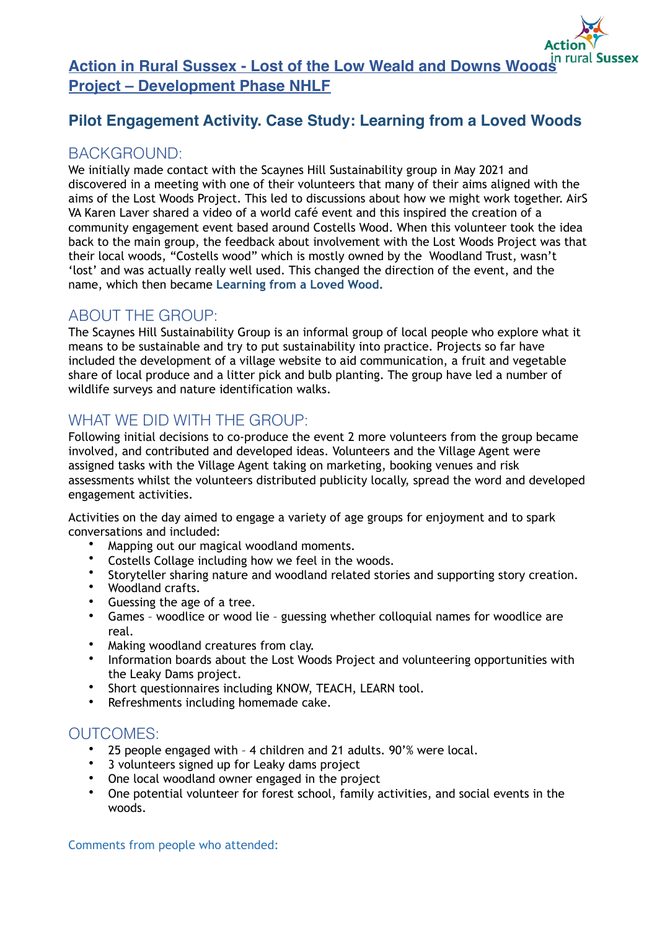**Action in Rural Sussex - Lost of the Low Weald and Downs Woods** in rural Sussex **Project – Development Phase NHLF**

### **Pilot Engagement Activity. Case Study: Learning from a Loved Woods**

#### BACKGROUND:

We initially made contact with the Scaynes Hill Sustainability group in May 2021 and discovered in a meeting with one of their volunteers that many of their aims aligned with the aims of the Lost Woods Project. This led to discussions about how we might work together. AirS VA Karen Laver shared a video of a world café event and this inspired the creation of a community engagement event based around Costells Wood. When this volunteer took the idea back to the main group, the feedback about involvement with the Lost Woods Project was that their local woods, "Costells wood" which is mostly owned by the Woodland Trust, wasn't 'lost' and was actually really well used. This changed the direction of the event, and the name, which then became **Learning from a Loved Wood.**

### ABOUT THE GROUP:

The [Scaynes Hill Sustainability Group](https://scayneshillvillage.co.uk/sustainability.html) is an informal group of local people who explore what it means to be sustainable and try to put sustainability into practice. Projects so far have included the development of a village website to aid communication, a fruit and vegetable share of local produce and a litter pick and bulb planting. The group have led a number of wildlife surveys and nature identification walks.

# WHAT WE DID WITH THE GROUP:

Following initial decisions to co-produce the event 2 more volunteers from the group became involved, and contributed and developed ideas. Volunteers and the Village Agent were assigned tasks with the Village Agent taking on marketing, booking venues and risk assessments whilst the volunteers distributed publicity locally, spread the word and developed engagement activities.

Activities on the day aimed to engage a variety of age groups for enjoyment and to spark conversations and included:

- Mapping out our magical woodland moments.
- Costells Collage including how we feel in the woods.
- Storyteller sharing nature and woodland related stories and supporting story creation.
- Woodland crafts.
- Guessing the age of a tree.
- Games woodlice or wood lie guessing whether colloquial names for woodlice are real.
- Making woodland creatures from clay.
- Information boards about the Lost Woods Project and volunteering opportunities with the Leaky Dams project.
- Short questionnaires including KNOW, TEACH, LEARN tool.
- Refreshments including homemade cake.

## OUTCOMES:

- 25 people engaged with 4 children and 21 adults. 90'% were local.
- 3 volunteers signed up for Leaky dams project
- One local woodland owner engaged in the project
- One potential volunteer for forest school, family activities, and social events in the woods.

Comments from people who attended: